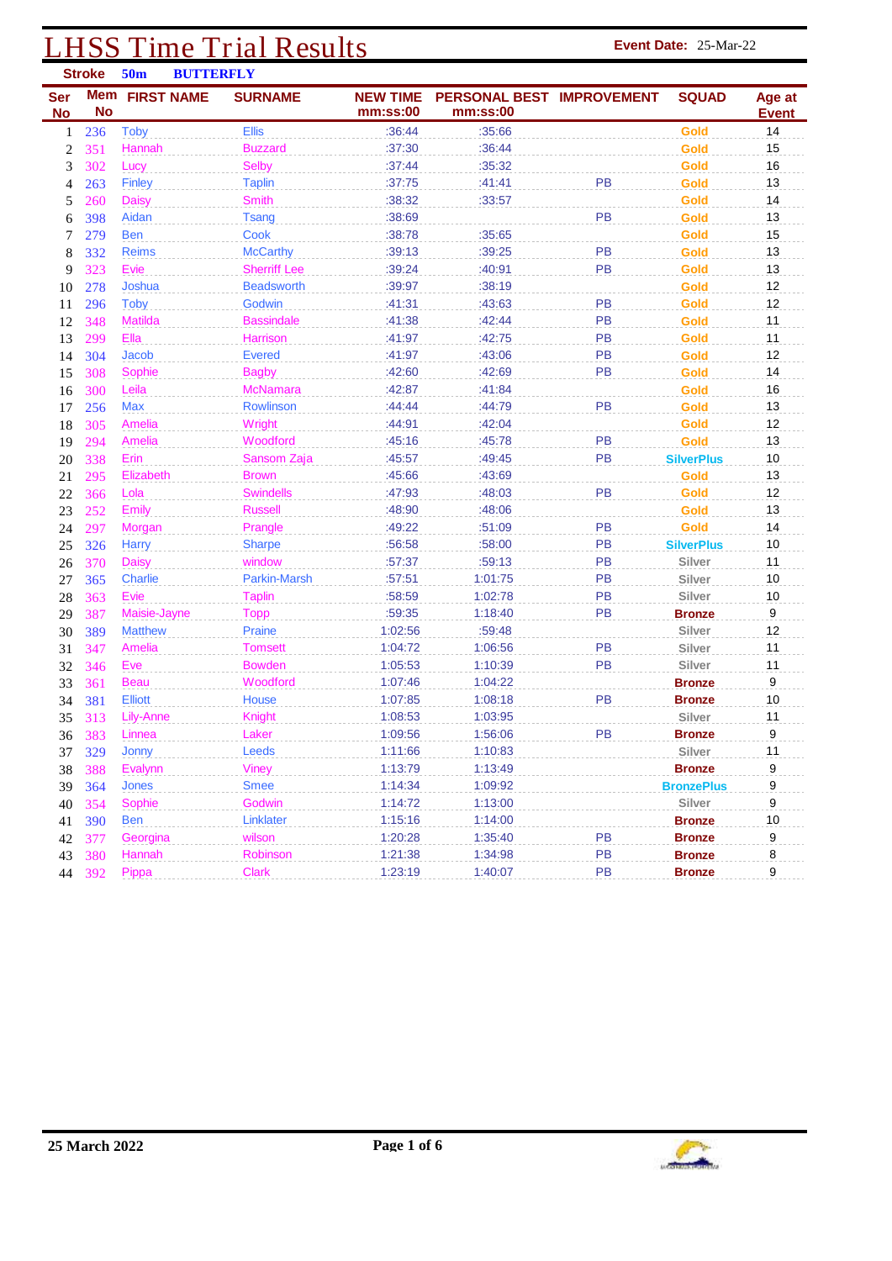### **LHSS Time Trial Results Event Date:** 25-Mar-22 **Stroke 50m BUTTERFLY**

| Ser<br><b>No</b> | <b>No</b>  | Mem FIRST NAME | <b>SURNAME</b>      | <b>NEW TIME</b><br>mm:ss:00 | PERSONAL BEST IMPROVEMENT<br>mm:ss:00 |    | <b>SQUAD</b>      | Age at<br><b>Event</b> |
|------------------|------------|----------------|---------------------|-----------------------------|---------------------------------------|----|-------------------|------------------------|
| 1                | 236        | <b>Toby</b>    | <b>Ellis</b>        | :36:44                      | :35:66                                |    | Gold              | 14                     |
| $\boldsymbol{2}$ | 351        | Hannah         | <b>Buzzard</b>      | :37:30                      | :36:44                                |    | Gold              | 15                     |
| 3                | 302        | Lucy           | <b>Selby</b>        | :37:44                      | :35:32                                |    | Gold              | 16                     |
| 4                | 263        | <b>Finley</b>  | <b>Taplin</b>       | :37:75                      | :41:41                                | PB | Gold              | 13                     |
| 5                | 260        | <b>Daisy</b>   | <b>Smith</b>        | :38:32                      | :33:57                                |    | Gold              | 14                     |
| 6                | 398        | Aidan          | <b>Tsang</b>        | :38:69                      |                                       | PB | Gold              | 13                     |
| 7                | 279        | <b>Ben</b>     | Cook                | :38:78                      | :35:65                                |    | Gold              | 15                     |
| 8                | 332        | <b>Reims</b>   | <b>McCarthy</b>     | :39:13                      | :39:25                                | PB | Gold              | 13                     |
| 9                | 323        | Evie           | <b>Sherriff Lee</b> | :39:24                      | :40:91                                | PB | Gold              | 13                     |
| 10               | 278        | Joshua         | <b>Beadsworth</b>   | :39:97                      | :38:19                                |    | Gold              | 12                     |
| 11               | 296        | <b>Toby</b>    | Godwin              | :41:31                      | :43:63                                | PB | Gold              | 12                     |
| 12               | 348        | <b>Matilda</b> | <b>Bassindale</b>   | :41:38                      | :42:44                                | PB | Gold              | 11                     |
| 13               | 299        | Ella           | Harrison            | :41:97                      | :42:75                                | PB | Gold              | 11                     |
| 14               | 304        | <b>Jacob</b>   | <b>Evered</b>       | :41:97                      | :43:06                                | PB | Gold              | 12                     |
| 15               | 308        | Sophie         | <b>Bagby</b>        | :42:60                      | :42:69                                | PB | Gold              | 14                     |
| 16               | 300        | Leila          | <b>McNamara</b>     | :42:87                      | :41:84                                |    | Gold              | 16                     |
| 17               | 256        | <b>Max</b>     | <b>Rowlinson</b>    | :44:44                      | :44:79                                | PB | Gold              | 13                     |
| 18               | 305        | Amelia         | Wright              | :44:91                      | :42:04                                |    | Gold              | 12                     |
| 19               | 294        | Amelia         | Woodford            | :45:16                      | :45:78                                | PB | Gold              | 13                     |
| 20               | 338        | Erin           | Sansom Zaja         | :45:57                      | :49:45                                | PB | <b>SilverPlus</b> | 10                     |
| 21               | 295        | Elizabeth      | <b>Brown</b>        | :45:66                      | :43:69                                |    | Gold              | 13                     |
| 22               | 366        | Lola           | <b>Swindells</b>    | :47:93                      | :48:03                                | PB | Gold              | 12                     |
| 23               | 252        | <b>Emily</b>   | <b>Russell</b>      | :48:90                      | :48:06                                |    | Gold              | 13                     |
| 24               | 297        | Morgan         | Prangle             | :49:22                      | :51:09                                | PB | Gold              | 14                     |
| 25               | 326        | <b>Harry</b>   | <b>Sharpe</b>       | :56:58                      | :58:00                                | PB | <b>SilverPlus</b> | $10$                   |
| 26               | 370        | <b>Daisy</b>   | window              | :57:37                      | :59:13                                | PB | Silver            | 11                     |
| 27               | 365        | Charlie        | Parkin-Marsh        | :57:51                      | 1:01:75                               | PB | Silver            | 10                     |
| 28               | 363        | Evie           | <b>Taplin</b>       | :58:59                      | 1:02:78                               | PB | Silver            | 10                     |
| 29               | 387        | Maisie-Jayne   | <b>Topp</b>         | :59:35                      | 1:18:40                               | PB | <b>Bronze</b>     | $\boldsymbol{9}$       |
| 30               | 389        | <b>Matthew</b> | Praine              | 1:02:56                     | :59:48                                |    | Silver            | 12                     |
| 31               | 347        | Amelia         | <b>Tomsett</b>      | 1:04:72                     | 1:06:56                               | PB | Silver            | 11                     |
| 32               | 346        | Eve            | <b>Bowden</b>       | 1:05:53                     | 1:10:39                               | PB | Silver            | 11                     |
| 33               | 361        | Beau           | Woodford            | 1:07:46                     | 1:04:22                               |    | <b>Bronze</b>     | 9                      |
| 34               | 381        | <b>Elliott</b> | House               | 1:07:85                     | 1:08:18                               | PB | <b>Bronze</b>     | 10                     |
| 35               | 313        | Lily-Anne      | <b>Knight</b>       | 1:08:53                     | 1:03:95                               |    | Silver            | 11                     |
| 36               | 383        | Linnea         | Laker               | 1:09:56                     | 1:56:06                               | PB | <b>Bronze</b>     | 9                      |
| 37               | <b>329</b> | <b>Jonny</b>   | Leeds               | 1:11:66                     | 1:10:83                               |    | Silver            | 11                     |
| 38               | 388        | Evalynn        | Viney               | 1:13:79                     | 1:13:49                               |    | <b>Bronze</b>     | 9                      |
| 39               | 364        | Jones          | <b>Smee</b>         | 1:14:34                     | 1:09:92                               |    | <b>BronzePlus</b> | 9                      |
| 40               | 354        | Sophie         | Godwin              | 1:14:72                     | 1:13:00                               |    | Silver            | $\boldsymbol{9}$       |
| 41               | 390        | Ben            | Linklater           | 1:15:16                     | 1:14:00                               |    | <b>Bronze</b>     | 10                     |
| 42               | 377        | Georgina       | wilson              | 1:20:28                     | 1:35:40                               | PB | <b>Bronze</b>     | 9                      |
| 43               | 380        | Hannah         | Robinson            | 1:21:38                     | 1:34:98                               | PB | <b>Bronze</b>     | 8                      |
| 44               | 392        | Pippa          | <b>Clark</b>        | 1:23:19                     | 1:40:07                               | PB | <b>Bronze</b>     | 9                      |

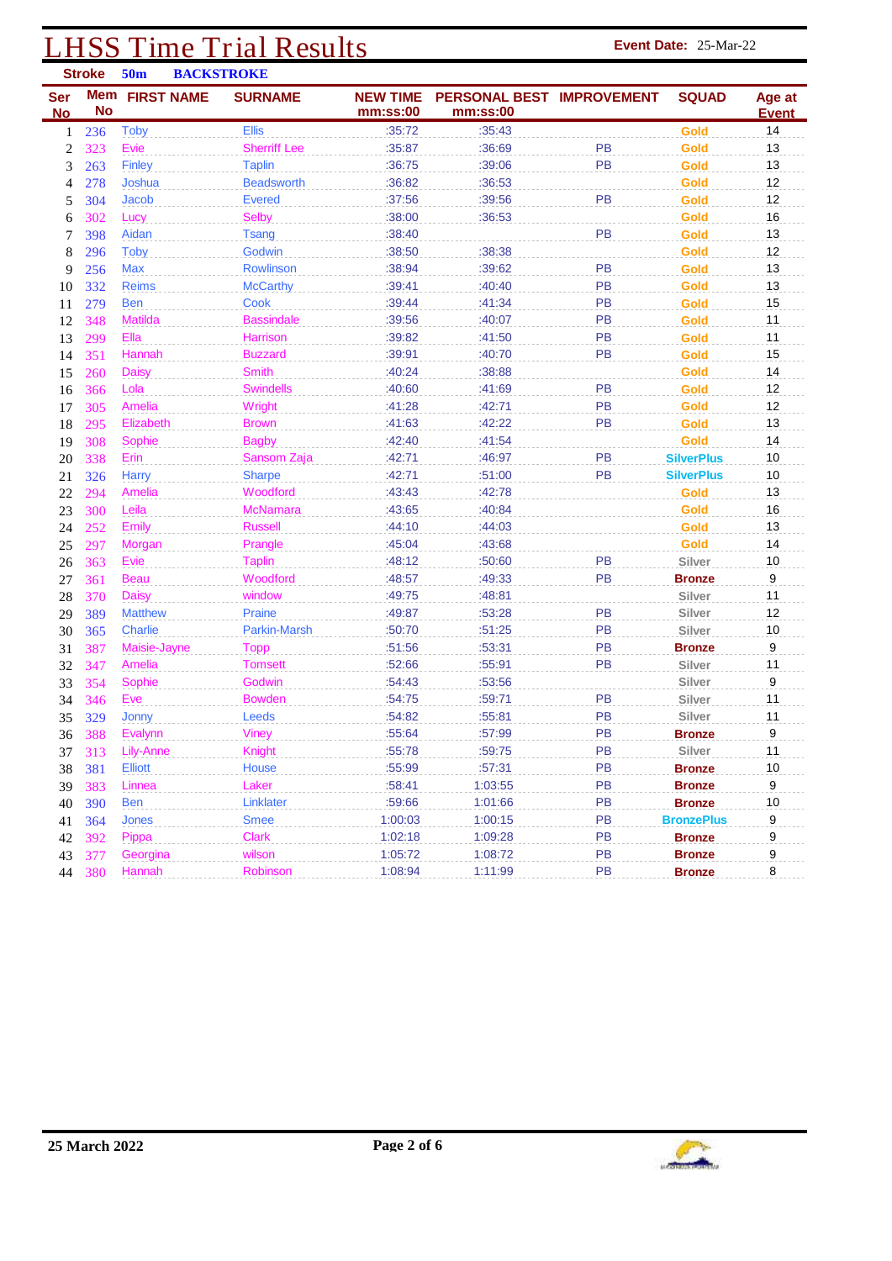# **LHSS Time Trial Results Event Date:** 25-Mar-22<br> **Event Date:** 25-Mar-22

|                | <b>Stroke</b> | 50 <sub>m</sub>   | <b>BACKSTROKE</b> |                                   |                  |                           |           |                   |              |
|----------------|---------------|-------------------|-------------------|-----------------------------------|------------------|---------------------------|-----------|-------------------|--------------|
| <b>Ser</b>     | <b>Mem</b>    | <b>FIRST NAME</b> |                   | <b>SURNAME</b>                    | <b>NEW TIME</b>  | PERSONAL BEST IMPROVEMENT |           | <b>SQUAD</b>      | Age at       |
| <b>No</b>      | <b>No</b>     |                   |                   |                                   | mm:ss:00         | mm:ss:00                  |           |                   | <b>Event</b> |
| 1              | 236           | <b>Toby</b>       |                   | <b>Ellis</b>                      | :35:72           | :35:43                    |           | Gold              | 14           |
| $\overline{2}$ | 323           | Evie              |                   | <b>Sherriff Lee</b>               | :35:87           | :36:69                    | <b>PB</b> | Gold              | 13           |
| 3              | 263           | <b>Finley</b>     |                   | <b>Taplin</b>                     | :36:75           | :39:06                    | <b>PB</b> | Gold              | 13           |
| 4              | 278           | Joshua            |                   | <b>Beadsworth</b>                 | :36:82           | :36:53                    |           | Gold              | 12           |
| 5              | 304           | <b>Jacob</b>      |                   | <b>Evered</b>                     | :37:56           | :39:56                    | PB        | Gold              | 12           |
| 6              | 302           | Lucy              |                   | <b>Selby</b>                      | :38:00           | :36:53                    |           | Gold              | 16           |
| 7              | 398           | Aidan             |                   | <b>Tsang</b>                      | :38:40           |                           | PB        | Gold              | 13           |
| 8              | 296           | <b>Toby</b>       |                   | Godwin                            | :38:50           | :38:38                    |           | Gold              | 12           |
| 9              | 256           | <b>Max</b>        |                   | Rowlinson                         | :38:94           | :39:62                    | PB        | Gold              | 13           |
| 10             | 332           | <b>Reims</b>      |                   | <b>McCarthy</b>                   | :39:41           | :40:40                    | PB        | Gold              | 13           |
| 11             | 279           | <b>Ben</b>        |                   | Cook                              | :39:44           | :41:34                    | <b>PB</b> | Gold              | 15           |
| 12             | 348           | Matilda           |                   | <b>Bassindale</b>                 | :39:56           | :40:07                    | PB        | Gold              | 11           |
| 13             | 299           | Ella              |                   | Harrison                          | :39:82           | :41:50                    | <b>PB</b> | Gold              | 11           |
| 14             | 351           | <b>Hannah</b>     |                   | <b>Buzzard</b>                    | :39:91           | :40:70                    | <b>PB</b> | Gold              | 15           |
| 15             | 260           | <b>Daisy</b>      |                   | <b>Smith</b>                      | :40:24           | :38:88                    |           | Gold              | 14           |
| 16             | 366           | Lola              |                   | <b>Swindells</b>                  | :40:60           | :41:69                    | PB        | Gold              | 12           |
| 17             | 305           | Amelia            |                   | Wright                            | :41:28           | :42:71                    | PB        | Gold              | 12           |
| 18             | 295           | Elizabeth         |                   | <b>Brown</b>                      | :41:63           | :42:22                    | PB        | Gold              | 13           |
| 19             | 308           | Sophie            |                   | <b>Bagby</b>                      | :42:40           | :41:54                    |           | Gold              | 14           |
| 20             | 338           | Erin              |                   | Sansom Zaja                       | :42:71           | :46:97                    | PB        | <b>SilverPlus</b> | 10           |
| 21             | 326           | <b>Harry</b>      |                   | <b>Sharpe</b>                     | :42:71           | :51:00                    | PB        | <b>SilverPlus</b> | 10           |
| 22             | 294           | Amelia            |                   | Woodford                          | :43:43<br>:43:65 | :42:78<br>:40:84          |           | Gold<br>Gold      | 13<br>16     |
| 23             | 300           | Leila             |                   | <b>McNamara</b><br><b>Russell</b> | :44:10           | :44:03                    |           | Gold              | 13           |
| 24             | 252           | <b>Emily</b>      |                   | Prangle                           | :45:04           | :43:68                    |           | Gold              | 14           |
| 25<br>26       | 297<br>363    | Morgan<br>Evie    |                   | <b>Taplin</b>                     | :48:12           | :50:60                    | <b>PB</b> | Silver            | 10           |
| 27             | 361           | <b>Beau</b>       |                   | Woodford                          | :48:57           | :49:33                    | PB        | <b>Bronze</b>     | 9            |
| 28             | 370           | Daisy             |                   | window                            | :49:75           | :48:81                    |           | Silver            | 11           |
| 29             | 389           | <b>Matthew</b>    |                   | Praine                            | :49:87           | :53:28                    | PB        | Silver            | 12           |
| 30             | 365           | <b>Charlie</b>    |                   | Parkin-Marsh                      | :50:70           | :51:25                    | PB        | Silver            | $10$         |
| 31             | 387           | Maisie-Jayne      |                   | <b>Topp</b>                       | :51:56           | :53:31                    | PB        | <b>Bronze</b>     | 9            |
| 32             | 347           | Amelia            |                   | <b>Tomsett</b>                    | :52:66           | :55:91                    | PB        | Silver            | 11           |
| 33             | 354           | Sophie            |                   | Godwin                            | :54:43           | :53:56                    |           | Silver            | 9            |
| 34             | 346           | Eve               |                   | <b>Bowden</b>                     | :54:75           | :59:71                    | PB        | Silver            | 11           |
| 35             | 329           | Jonny             |                   | Leeds                             | :54:82           | :55:81                    | PB        | Silver            | 11           |
|                | 36 388        | Evalynn           |                   | Viney                             | :55:64           | :57:99                    | PB        | <b>Bronze</b>     | 9            |
| 37             | 313           | Lily-Anne         |                   | Knight                            | :55:78           | :59:75                    | PB        | Silver            | 11           |
| 38             | 381           | Elliott           |                   | House                             | :55:99           | :57:31                    | <b>PB</b> | <b>Bronze</b>     | 10           |
| 39             | 383           | Linnea            |                   | Laker                             | :58:41           | 1:03:55                   | PB        | <b>Bronze</b>     | 9            |
| 40             | 390           | Ben               |                   | Linklater                         | :59:66           | 1:01:66                   | PB        | <b>Bronze</b>     | 10           |
| 41             | 364           | Jones             |                   | <b>Smee</b>                       | 1:00:03          | 1:00:15                   | <b>PB</b> | <b>BronzePlus</b> | 9            |
| 42             | 392           | Pippa             |                   | <b>Clark</b>                      | 1:02:18          | 1:09:28                   | PB        | <b>Bronze</b>     | 9            |
| 43             | 377           | Georgina          |                   | wilson                            | 1:05:72          | 1:08:72                   | PB        | <b>Bronze</b>     | 9            |
|                | 44 380        | Hannah            |                   | Robinson                          | 1:08:94          | 1:11:99                   | PB        | <b>Bronze</b>     | 8            |

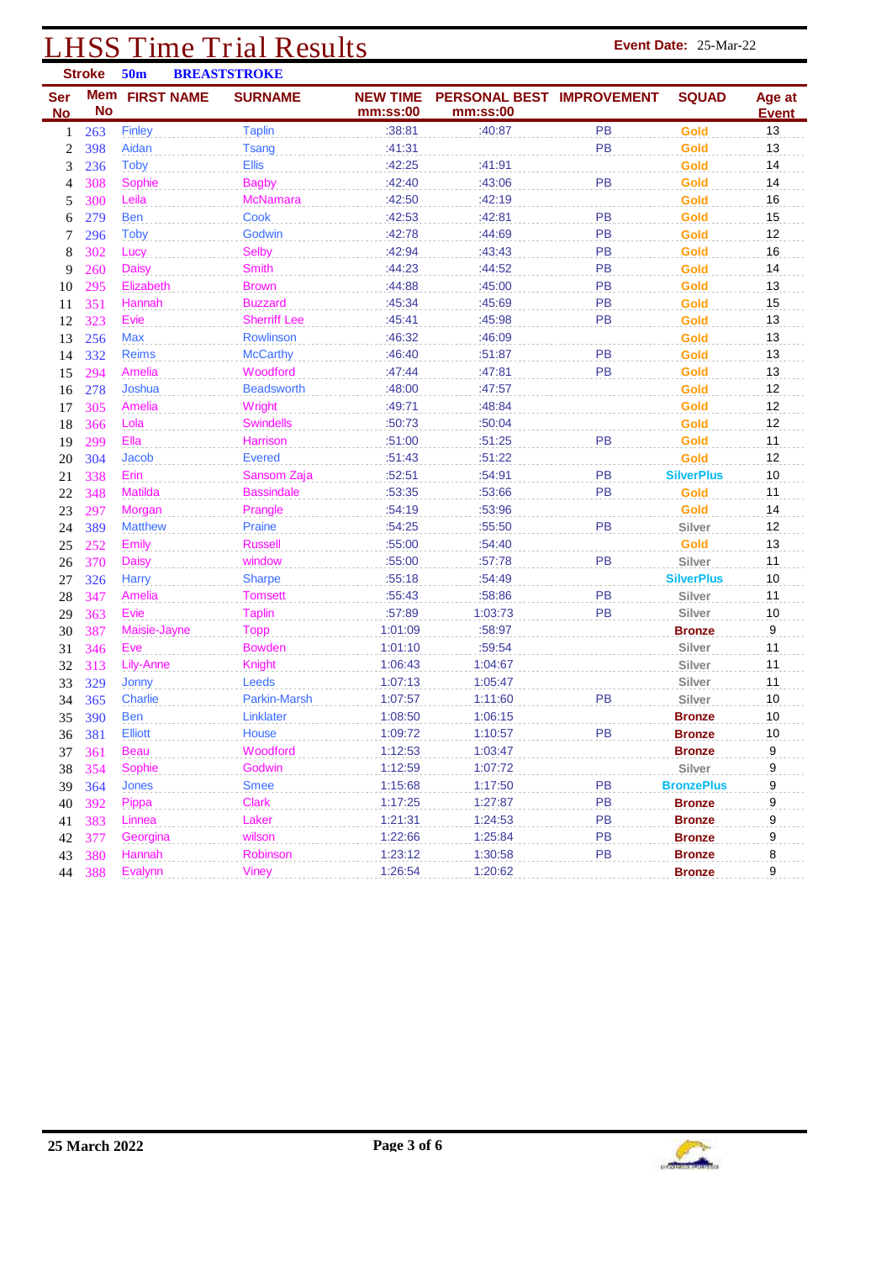## **LHSS Time Trial Results Event Date:** 25-Mar-22<br>
Stroke 50m BREASTSTROKE

|                         | <b>Stroke</b>    | 50 <sub>m</sub>   | <b>BREASTSTROKE</b> |                             |                                       |           |                   |                        |
|-------------------------|------------------|-------------------|---------------------|-----------------------------|---------------------------------------|-----------|-------------------|------------------------|
| <b>Ser</b><br><b>No</b> | Mem<br><b>No</b> | <b>FIRST NAME</b> | <b>SURNAME</b>      | <b>NEW TIME</b><br>mm:ss:00 | PERSONAL BEST IMPROVEMENT<br>mm:ss:00 |           | <b>SQUAD</b>      | Age at<br><b>Event</b> |
| 1                       | 263              | Finley            | <b>Taplin</b>       | :38:81                      | :40:87                                | <b>PB</b> | Gold              | 13                     |
| $\mathbf{2}$            | 398              | Aidan             | <b>Tsang</b>        | :41:31                      |                                       | PB        | Gold              | 13                     |
| 3                       | 236              | <b>Toby</b>       | <b>Ellis</b>        | :42:25                      | :41:91                                |           | Gold              | 14                     |
| 4                       | 308              | Sophie            | <b>Bagby</b>        | :42:40                      | :43:06                                | PB        | Gold              | 14                     |
| 5                       | 300              | Leila             | <b>McNamara</b>     | :42:50                      | :42:19                                |           | Gold              | 16                     |
| 6                       | 279              | <b>Ben</b>        | Cook                | :42:53                      | :42:81                                | PB        | Gold              | 15                     |
| 7                       | 296              | Toby              | Godwin              | :42:78                      | :44:69                                | PB        | Gold              | 12                     |
| 8                       | 302              | Lucy              | <b>Selby</b>        | :42:94                      | :43:43                                | PB        | Gold              | 16                     |
| 9                       | 260              | <b>Daisy</b>      | Smith               | :44:23                      | :44:52                                | PB        | Gold              | 14                     |
| 10                      | 295              | Elizabeth         | <b>Brown</b>        | :44:88                      | :45:00                                | PB        | Gold              | 13                     |
| 11                      | 351              | Hannah            | <b>Buzzard</b>      | :45:34                      | :45:69                                | PB        | Gold              | 15                     |
| 12                      | 323              | Evie              | <b>Sherriff Lee</b> | :45:41                      | :45:98                                | PB        | Gold              | 13                     |
| 13                      | 256              | Max               | Rowlinson           | :46:32                      | :46:09                                |           | Gold              | 13                     |
| 14                      | 332              | <b>Reims</b>      | <b>McCarthy</b>     | :46:40                      | :51:87                                | PB        | Gold              | 13                     |
| 15                      | 294              | <b>Amelia</b>     | Woodford            | :47:44                      | :47:81                                | PB        | Gold              | 13                     |
| 16                      | 278              | Joshua            | <b>Beadsworth</b>   | :48:00                      | :47:57                                |           | Gold              | 12                     |
| 17                      | 305              | Amelia            | Wright              | :49:71                      | :48:84                                |           | Gold              | 12                     |
| 18                      | 366              | Lola              | <b>Swindells</b>    | :50:73                      | :50:04                                |           | Gold              | 12                     |
| 19                      | 299              | Ella              | Harrison            | :51:00                      | :51:25                                | PB        | Gold              | 11                     |
| 20                      | 304              | Jacob             | <b>Evered</b>       | :51:43                      | :51:22                                |           | Gold              | 12                     |
| 21                      | 338              | Erin              | Sansom Zaja         | :52:51                      | :54:91                                | PB        | <b>SilverPlus</b> | 10                     |
| 22                      | 348              | Matilda           | <b>Bassindale</b>   | :53:35                      | :53:66                                | PB        | Gold              | 11                     |
| 23                      | 297              | Morgan            | Prangle             | :54:19                      | :53:96                                |           | Gold              | 14                     |
| 24                      | 389              | <b>Matthew</b>    | Praine              | :54:25                      | :55:50                                | PB        | Silver            | 12                     |
| 25                      | 252              | <b>Emily</b>      | <b>Russell</b>      | :55:00                      | :54:40                                |           | Gold              | 13                     |
| 26                      | 370              | <b>Daisy</b>      | window              | :55:00                      | :57:78                                | PB        | Silver            | 11                     |
| 27                      | 326              | Harry             | <b>Sharpe</b>       | :55:18                      | :54:49                                |           | <b>SilverPlus</b> | 10                     |
| 28                      | 347              | Amelia            | <b>Tomsett</b>      | :55:43                      | :58:86                                | PB        | Silver            | 11                     |
| 29                      | 363              | Evie              | <b>Taplin</b>       | :57:89                      | 1:03:73                               | PB        | Silver            | 10                     |
| 30                      | 387              | Maisie-Jayne      | <b>Topp</b>         | 1:01:09                     | :58:97                                |           | <b>Bronze</b>     | 9                      |
| 31                      | 346              | Eve               | <b>Bowden</b>       | 1:01:10                     | :59:54                                |           | Silver            | 11                     |
| 32                      | 313              | Lily-Anne         | Knight              | 1:06:43                     | 1:04:67                               |           | Silver            | 11                     |
| 33                      | 329              | Jonny             | Leeds               | 1:07:13                     | 1:05:47                               |           | Silver            | 11                     |
| 34                      | 365              | Charlie           | Parkin-Marsh        | 1:07:57                     | 1:11:60                               | PB        | Silver            | 10                     |
| 35                      | 390              | <b>Ben</b>        | Linklater           | 1:08:50                     | 1:06:15                               |           | <b>Bronze</b>     | 10                     |
| 36                      | 381              | Elliott           | House               | 1:09:72                     | 1:10:57                               | PR        | <b>Bronze</b>     | 10                     |
| 37                      | <b>361</b>       | <b>Beau</b>       | Woodford            | 1:12:53                     | 1:03:47                               |           | <b>Bronze</b>     | 9                      |
| 38                      | 354              | Sophie            | Godwin              | 1:12:59                     | 1:07:72                               |           | Silver            | 9                      |
| 39                      | 364              | Jones             | <b>Smee</b>         | 1:15:68                     | 1:17:50                               | PB        | <b>BronzePlus</b> | 9                      |
| 40                      | 392              | Pippa             | <b>Clark</b>        | 1:17:25                     | 1:27:87                               | PB        | <b>Bronze</b>     | 9                      |
| 41                      | 383              | Linnea            | Laker               | 1:21:31                     | 1:24:53                               | PB        | <b>Bronze</b>     | 9                      |
| 42                      | 377              | Georgina          | wilson              | 1:22:66                     | 1:25:84                               | PB        | <b>Bronze</b>     | 9                      |
| 43                      | 380              | Hannah            | Robinson            | 1:23:12                     | 1:30:58                               | PB        | <b>Bronze</b>     | 8                      |
|                         | 44 388           | Evalynn           | Viney               | 1:26:54                     | 1:20:62                               |           | <b>Bronze</b>     | 9                      |

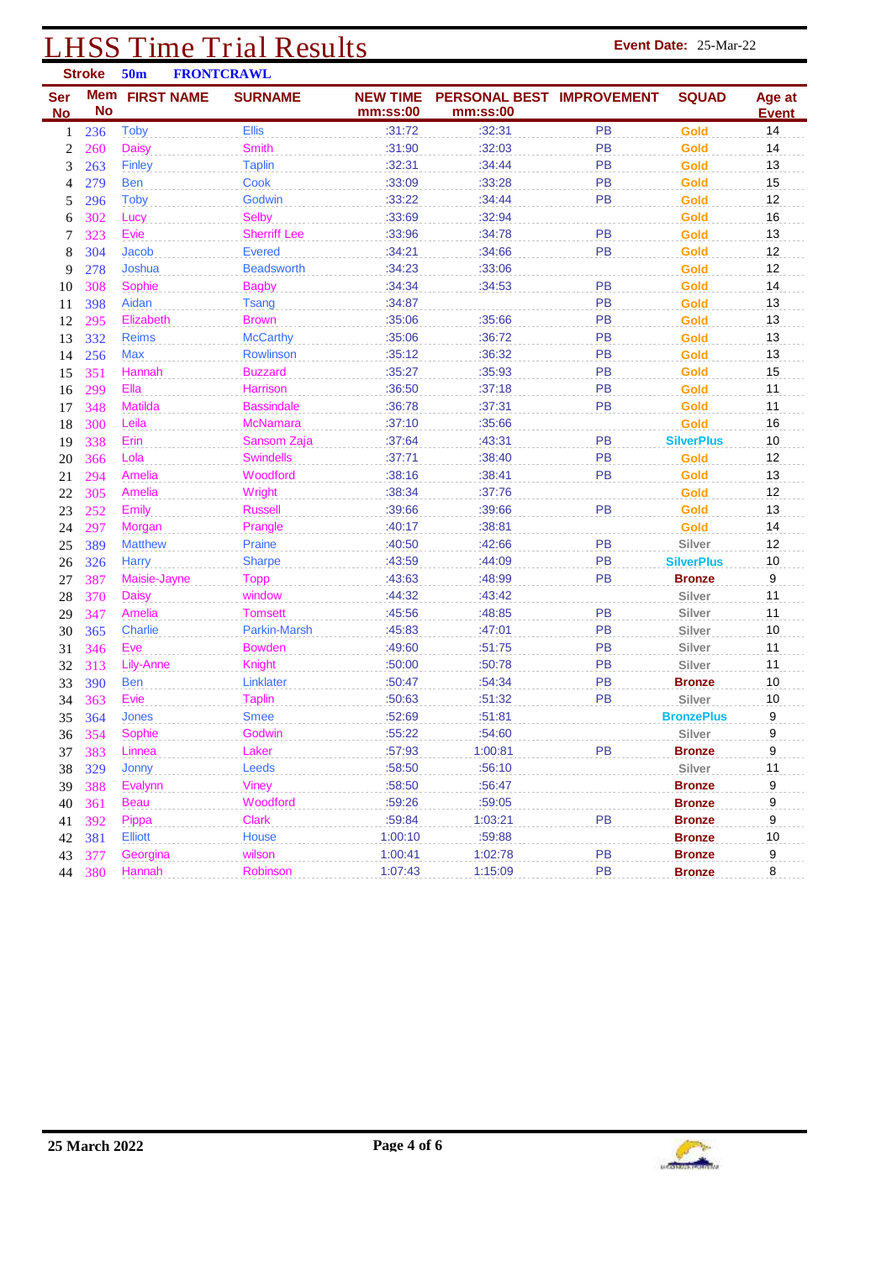### **LHSS Time Trial Results Event Date:** 25-Mar-22<br> **Stroke** 50m **FRONTCRAWL**

|                  | <b>Stroke</b> | 50 <sub>m</sub> | <b>FRONTCRAWL</b>   |                             |                                       |           |                   |                    |
|------------------|---------------|-----------------|---------------------|-----------------------------|---------------------------------------|-----------|-------------------|--------------------|
| <b>Ser</b>       | <b>No</b>     | Mem FIRST NAME  | <b>SURNAME</b>      | <b>NEW TIME</b><br>mm:ss:00 | PERSONAL BEST IMPROVEMENT<br>mm:ss:00 |           | <b>SQUAD</b>      | Age at             |
| <b>No</b><br>1   | 236           | <b>Toby</b>     | <b>Ellis</b>        | :31:72                      | :32:31                                | PB        | Gold              | <b>Event</b><br>14 |
| $\boldsymbol{2}$ | 260           | <b>Daisy</b>    | <b>Smith</b>        | :31:90                      | :32:03                                | <b>PB</b> | Gold              | 14                 |
| 3                | 263           | <b>Finley</b>   | <b>Taplin</b>       | :32:31                      | :34:44                                | <b>PB</b> | Gold              | 13                 |
| 4                | 279           | <b>Ben</b>      | Cook                | :33:09                      | :33:28                                | <b>PB</b> | Gold              | 15                 |
| 5                | 296           | <b>Toby</b>     | Godwin              | :33:22                      | :34:44                                | <b>PB</b> | Gold              | 12                 |
| 6                | 302           | Lucy            | <b>Selby</b>        | :33:69                      | :32:94                                |           | Gold              | 16                 |
| 7                | 323           | Evie            | <b>Sherriff Lee</b> | :33:96                      | :34:78                                | PB        | Gold              | 13                 |
| 8                | 304           | <b>Jacob</b>    | <b>Evered</b>       | :34:21                      | :34:66                                | PB        | Gold              | 12                 |
| 9                | 278           | Joshua          | <b>Beadsworth</b>   | :34:23                      | :33:06                                |           | Gold              | 12                 |
| 10               | 308           | Sophie          | <b>Bagby</b>        | :34:34                      | :34:53                                | PB        | Gold              | 14                 |
| 11               | 398           | Aidan           | <b>Tsang</b>        | :34:87                      |                                       | PB        | Gold              | 13                 |
| 12               | 295           | Elizabeth       | <b>Brown</b>        | :35:06                      | :35:66                                | PB        | Gold              | 13                 |
| 13               | 332           | <b>Reims</b>    | <b>McCarthy</b>     | :35:06                      | :36:72                                | PB        | Gold              | 13                 |
| 14               | 256           | Max             | Rowlinson           | :35:12                      | :36:32                                | <b>PB</b> | Gold              | 13                 |
| 15               | 351           | Hannah          | <b>Buzzard</b>      | :35:27                      | :35:93                                | <b>PB</b> | Gold              | 15                 |
| 16               | 299           | Ella            | Harrison            | :36:50                      | :37:18                                | PB        | Gold              | 11                 |
| 17               | 348           | <b>Matilda</b>  | <b>Bassindale</b>   | :36:78                      | :37:31                                | PB        | Gold              | 11                 |
| 18               | 300           | Leila           | <b>McNamara</b>     | :37:10                      | :35:66                                |           | Gold              | 16                 |
| 19               | 338           | Erin            | Sansom Zaja         | :37:64                      | :43:31                                | PB        | <b>SilverPlus</b> | 10                 |
| 20               | 366           | Lola            | <b>Swindells</b>    | :37:71                      | :38:40                                | PB        | Gold              | 12                 |
| 21               | 294           | Amelia          | Woodford            | :38:16                      | :38:41                                | PB        | Gold              | 13                 |
| 22               | 305           | Amelia          | Wright              | :38:34                      | :37:76                                |           | Gold              | 12                 |
| 23               | 252           | Emily           | <b>Russell</b>      | :39:66                      | :39:66                                | PB        | Gold              | 13                 |
| 24               | 297           | Morgan          | Prangle             | :40:17                      | :38:81                                |           | Gold              | 14                 |
| 25               | 389           | <b>Matthew</b>  | Praine              | :40:50                      | :42:66                                | PB        | Silver            | 12                 |
| 26               | 326           | Harry           | <b>Sharpe</b>       | :43:59                      | :44:09                                | <b>PB</b> | <b>SilverPlus</b> | 10                 |
| 27               | 387           | Maisie-Jayne    | <b>Topp</b>         | :43:63                      | :48:99                                | <b>PB</b> | <b>Bronze</b>     | 9                  |
| 28               | 370           | Daisy           | window              | :44:32                      | :43:42                                |           | Silver            | 11                 |
| 29               | 347           | Amelia          | Tomsett             | :45:56                      | :48:85                                | <b>PB</b> | Silver            | 11                 |
| 30               | 365           | <b>Charlie</b>  | <b>Parkin-Marsh</b> | :45:83                      | :47:01                                | PB        | Silver            | 10                 |
| 31               | 346           | Eve             | <b>Bowden</b>       | :49:60                      | :51:75                                | PB        | Silver            | 11                 |
| 32               | 313           | Lily-Anne       | Knight              | :50:00                      | :50:78                                | PB        | Silver            | 11                 |
| 33               | 390           | <b>Ben</b>      | Linklater           | :50:47                      | :54:34                                | PB        | <b>Bronze</b>     | 10                 |
| 34               | 363           | Evie            | <b>Taplin</b>       | :50:63                      | :51:32                                | PB        | Silver            | $10$               |
| 35               | 364           | <b>Jones</b>    | <b>Smee</b>         | :52:69                      | :51:81                                |           | <b>BronzePlus</b> | 9                  |
|                  | 36 354        | Sophie          | Godwin              | :55:22                      | :54:60                                |           | Silver            | 9                  |
| 37               | 383           | Linnea          | Laker               | :57:93                      | 1:00:81                               | PB        | <b>Bronze</b>     | 9                  |
| 38               | 329           | Jonny           | Leeds               | :58:50                      | :56:10                                |           | Silver            | 11                 |
| 39               | 388           | Evalynn         | <b>Viney</b>        | :58:50                      | :56:47                                |           | <b>Bronze</b>     | $\boldsymbol{9}$   |
| 40               | 361           | Beau            | Woodford            | :59:26                      | :59:05                                |           | <b>Bronze</b>     | 9                  |
| 41               | 392           | Pippa           | Clark               | :59:84                      | 1:03:21                               | PB        | <b>Bronze</b>     | 9                  |
| 42               | 381           | <b>Elliott</b>  | House               | 1:00:10                     | :59:88                                |           | <b>Bronze</b>     | 10                 |
| 43               | 377           | Georgina        | wilson              | 1:00:41                     | 1:02:78                               | PB        | <b>Bronze</b>     | 9                  |
|                  | 44 380        | Hannah          | Robinson            | 1:07:43                     | 1:15:09                               | PB        | <b>Bronze</b>     | 8                  |

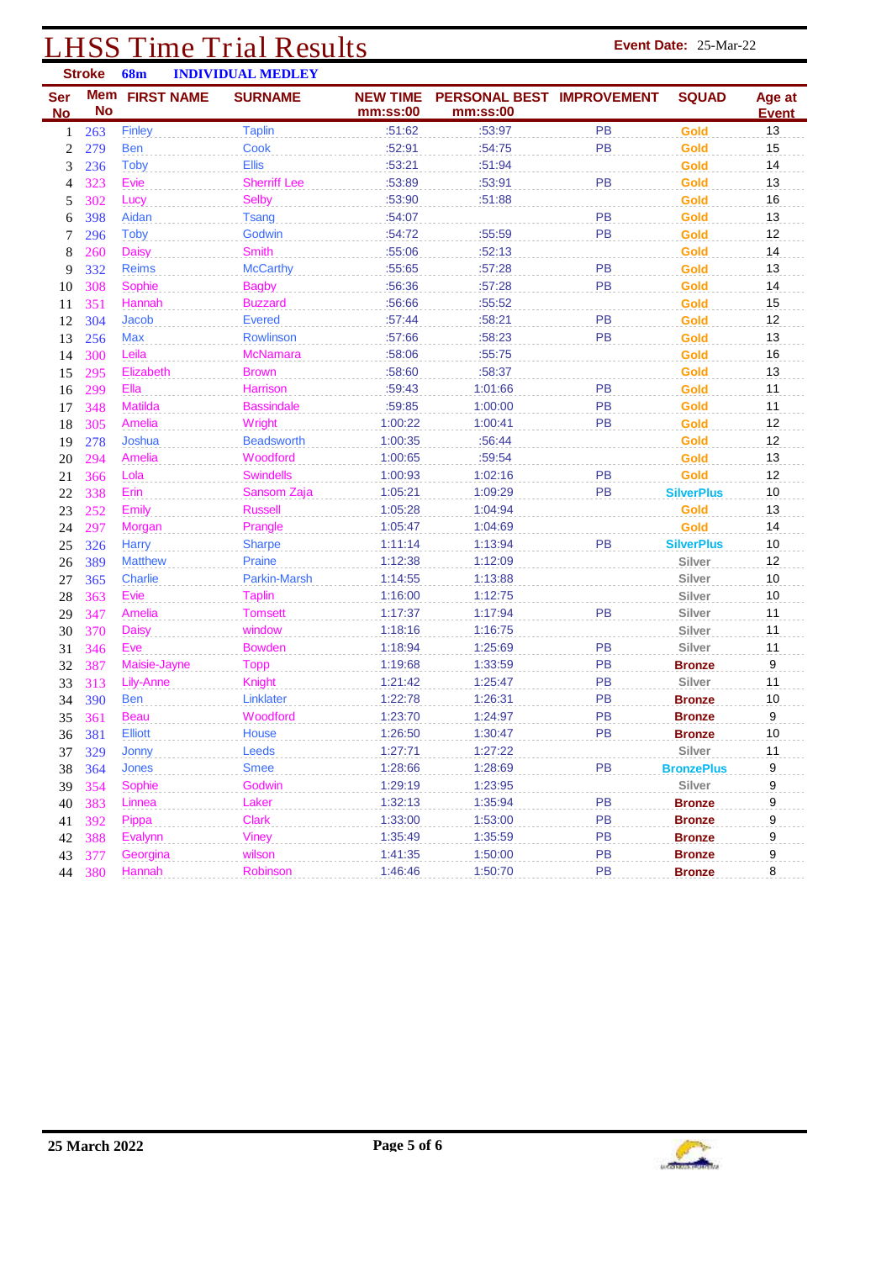### **LHSS Time Trial Results Event Date:** 25-Mar-22 **INDIVIDUAL MEDLEY**

| <b>Ser</b><br><b>No</b> | <b>No</b>  | Mem FIRST NAME   | <u>ПЛЛЯ ПЛОВИ КНЯДИЯ </u><br><b>SURNAME</b> | <b>NEW TIME</b><br>mm:ss:00 | PERSONAL BEST IMPROVEMENT<br>mm:ss:00 |           | <b>SQUAD</b>      | Age at<br><u>Event</u> |
|-------------------------|------------|------------------|---------------------------------------------|-----------------------------|---------------------------------------|-----------|-------------------|------------------------|
| 1                       | 263        | Finley           | <b>Taplin</b>                               | :51:62                      | :53:97                                | <b>PB</b> | Gold              | 13                     |
| 2                       | 279        | <b>Ben</b>       | Cook                                        | :52:91                      | :54:75                                | PB        | Gold              | 15                     |
| 3                       | 236        | <b>Toby</b>      | <b>Ellis</b>                                | :53:21                      | :51:94                                |           | Gold              | 14                     |
| 4                       | 323        | Evie             | <b>Sherriff Lee</b>                         | :53:89                      | :53:91                                | PB        | Gold              | 13                     |
| 5                       | 302        | Lucy             | <b>Selby</b>                                | :53:90                      | :51:88                                |           | Gold              | 16                     |
| 6                       | 398        | Aidan            | <b>Tsang</b>                                | :54:07                      |                                       | PB        | Gold              | 13                     |
| 7                       | 296        | <b>Toby</b>      | Godwin                                      | :54:72                      | :55:59                                | <b>PB</b> | Gold              | 12                     |
| 8                       | 260        | <b>Daisy</b>     | <b>Smith</b>                                | :55:06                      | :52:13                                |           | Gold              | 14                     |
| 9                       | 332        | <b>Reims</b>     | <b>McCarthy</b>                             | :55:65                      | :57:28                                | PB        | Gold              | 13                     |
| 10                      | 308        | Sophie           | <b>Bagby</b>                                | :56:36                      | :57:28                                | PB        | Gold              | 14                     |
| 11                      | 351        | Hannah           | <b>Buzzard</b>                              | :56:66                      | :55:52                                |           | Gold              | 15                     |
| 12                      | 304        | Jacob            | <b>Evered</b>                               | :57:44                      | :58:21                                | PB        | Gold              | 12                     |
| 13                      | 256        | Max              | Rowlinson                                   | :57:66                      | :58:23                                | PB        | Gold              | 13                     |
| 14                      | 300        | Leila            | <b>McNamara</b>                             | :58:06                      | :55:75                                |           | Gold              | 16                     |
| 15                      | 295        | Elizabeth        | <b>Brown</b>                                | :58:60                      | :58:37                                |           | Gold              | 13                     |
| 16                      | 299        | Ella             | <b>Harrison</b>                             | :59:43                      | 1:01:66                               | PB        | Gold              | 11                     |
| 17                      | 348        | Matilda          | <b>Bassindale</b>                           | :59:85                      | 1:00:00                               | PB        | Gold              | 11                     |
| 18                      | 305        | Amelia           | Wright                                      | 1:00:22                     | 1:00:41                               | PB        | Gold              | 12                     |
| 19                      | 278        | Joshua           | <b>Beadsworth</b>                           | 1:00:35                     | :56:44                                |           | Gold              | 12                     |
| 20                      | 294        | Amelia           | Woodford                                    | 1:00:65                     | :59:54                                |           | Gold              | 13                     |
| 21                      | 366        | Lola             | <b>Swindells</b>                            | 1:00:93                     | 1:02:16                               | PB        | Gold              | 12                     |
| 22                      | 338        | Erin             | Sansom Zaja                                 | 1:05:21                     | 1:09:29                               | PB        | <b>SilverPlus</b> | 10                     |
| 23                      | 252        | Emily            | <b>Russell</b>                              | 1:05:28                     | 1:04:94                               |           | Gold              | 13                     |
| 24                      | 297        | Morgan           | Prangle                                     | 1:05:47                     | 1:04:69                               |           | Gold              | 14                     |
| 25                      | 326        | <b>Harry</b>     | <b>Sharpe</b>                               | 1:11:14                     | 1:13:94                               | PB        | <b>SilverPlus</b> | $10$                   |
| 26                      | 389        | <b>Matthew</b>   | Praine                                      | 1:12:38                     | 1:12:09                               |           | Silver            | 12                     |
| 27                      | 365        | Charlie          | Parkin-Marsh                                | 1:14:55                     | 1:13:88                               |           | Silver            | 10                     |
| 28                      | 363        | Evie             | <b>Taplin</b>                               | 1:16:00                     | 1:12:75                               |           | Silver            | 10                     |
| 29                      | 347        | Amelia           | <b>Tomsett</b>                              | 1:17:37                     | 1:17:94                               | PB        | Silver            | 11                     |
| 30                      | 370        | <b>Daisy</b>     | window                                      | 1:18:16                     | 1:16:75                               |           | Silver            | 11                     |
| 31                      | 346        | Eve              | <b>Bowden</b>                               | 1:18:94                     | 1:25:69                               | <b>PB</b> | Silver            | 11                     |
| 32                      | 387        | Maisie-Jayne     | <b>Topp</b>                                 | 1:19:68                     | 1:33:59                               | PB        | <b>Bronze</b>     | 9                      |
| 33                      | 313        | <b>Lily-Anne</b> | Knight                                      | 1:21:42                     | 1:25:47                               | PB        | Silver            | 11                     |
| 34                      | 390        | <b>Ben</b>       | Linklater                                   | 1:22:78                     | 1:26:31                               | PB        | <b>Bronze</b>     | 10                     |
| 35                      | 361        | <b>Beau</b>      | Woodford                                    | 1:23:70                     | 1:24:97                               | PB        | <b>Bronze</b>     | 9                      |
| 36                      | 381        | <b>Elliott</b>   | House                                       | 1:26:50                     | 1:30:47                               | PB        | <b>Bronze</b>     | 10                     |
| 37                      | <b>329</b> | Jonny            | Leeds                                       | 1:27:71                     | 1:27:22                               |           | Silver            | 11                     |
| 38                      | 364        | Jones            | <b>Smee</b>                                 | 1:28:66                     | 1:28:69                               | PB        | <b>BronzePlus</b> | 9                      |
| 39                      | 354        | Sophie           | Godwin                                      | 1:29:19                     | 1:23:95                               |           | Silver            | 9                      |
| 40                      | 383        | Linnea           | Laker                                       | 1:32:13                     | 1:35:94                               | PB        | <b>Bronze</b>     | 9                      |
| 41                      | 392        | Pippa            | <b>Clark</b>                                | 1:33:00                     | 1:53:00                               | PB        | <b>Bronze</b>     | 9                      |
| 42                      | 388        | Evalynn          | <b>Viney</b>                                | 1:35:49                     | 1:35:59                               | PB        | <b>Bronze</b>     | 9                      |
| 43                      | 377        | Georgina         | wilson                                      | 1:41:35                     | 1:50:00                               | PB        | <b>Bronze</b>     | 9                      |
| 44                      | 380        | Hannah           | Robinson                                    | 1:46:46                     | 1:50:70                               | <b>PB</b> | <b>Bronze</b>     | 8                      |